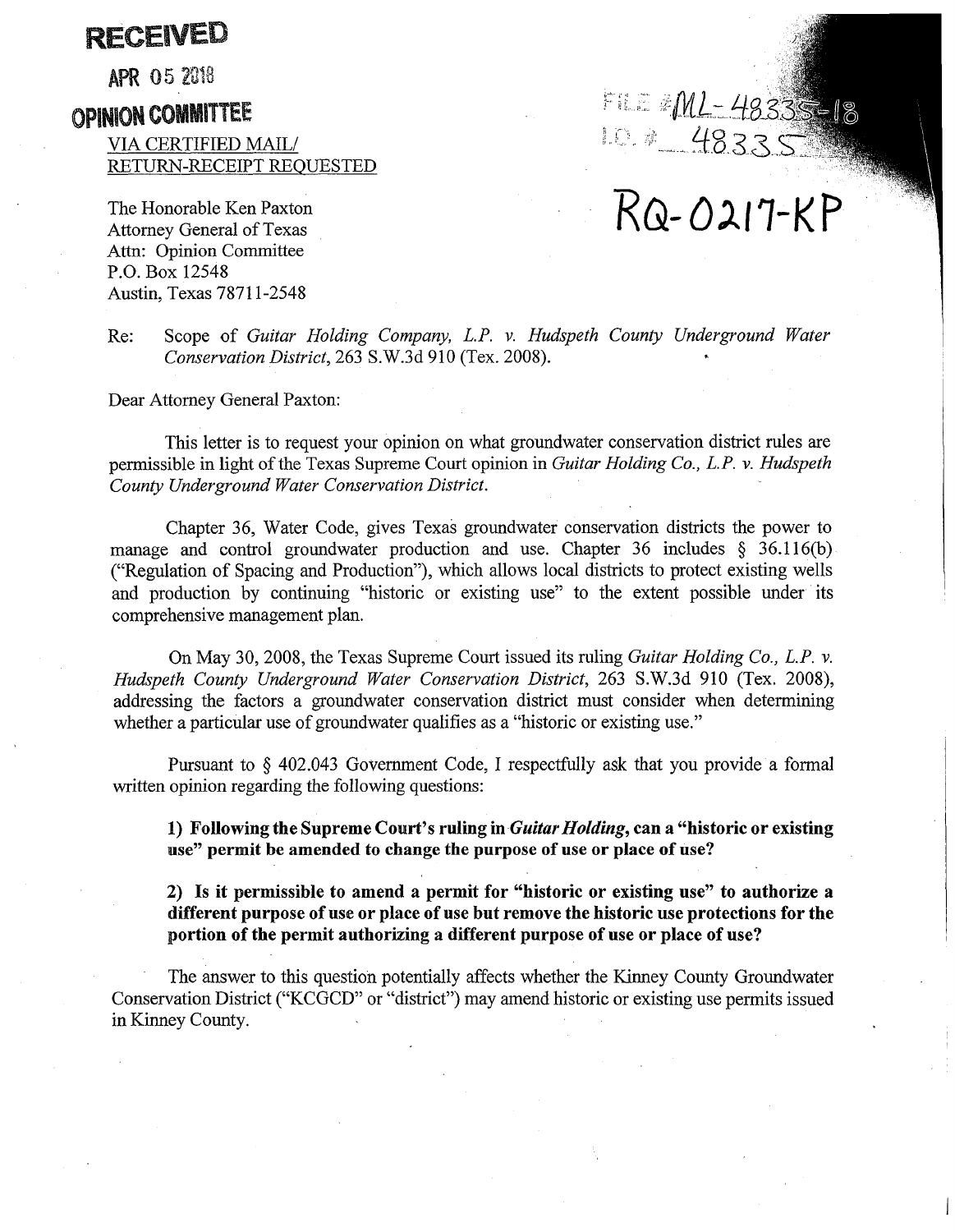# RECEIVED

**APR 05 2018** 

# OPINION COMMITTEE

VIA CERTIFIED MAIL/ RETURN-RECEIPT REQUESTED

The Honorable Ken Paxton Attorney General of Texas Attn: Opinion Committee P.O. Box 12548 Austin, Texas 78711-2548

FILE #ML-48335-

# **RG-Ol/1-KP**

Re: Scope of *Guitar Holding Company, L.P. v. Hudspeth County Underground Water Conservation District,* 263 S.W.3d 910 (Tex. 2008).

Dear Attorney General Paxton:

This letter is to request your opinion on what groundwater conservation district rules are permissible in light of the Texas Supreme Court opinion in *Guitar Holding Co., L.P. v. Hudspeth County Underground Water Conservation District.* 

Chapter 36, Water Code, gives Texas groundwater conservation districts the power to manage and control groundwater production and use. Chapter 36 includes  $\S$  36.116(b) ("Regulation of Spacing and Production"), which allows local districts to protect existing wells and production by continuing "historic or existing use" to the extent possible under its comprehensive management plan.

On May 30, 2008, the Texas Supreme Court issued its ruling *Guitar Holding Co., L.P. v. Hudspeth County Underground Water Conservation District,* 263 S.W.3d 910 (Tex. 2008), addressing the factors a groundwater conservation district must consider when determining whether a particular use of groundwater qualifies as a "historic or existing use."

Pursuant to § 402.043 Government Code, I respectfully ask that you provide a formal written opinion regarding the following questions:

**1) Following the Supreme Court's ruling in** *Guitar Holding,* **can a "historic or existing use" permit be amended to change the purpose of use or place of use?** 

**2) Is it permissible to amend a permit for "historic or existing use" to authorize a different purpose of use or place of use but remove the historic use protections for the portion of the permit authorizing a different purpose of use or place of use?** 

The answer to this question potentially affects whether the Kinney County Groundwater Conservation District ("KCGCD" or "district") may amend historic or existing use permits issued in Kinney County.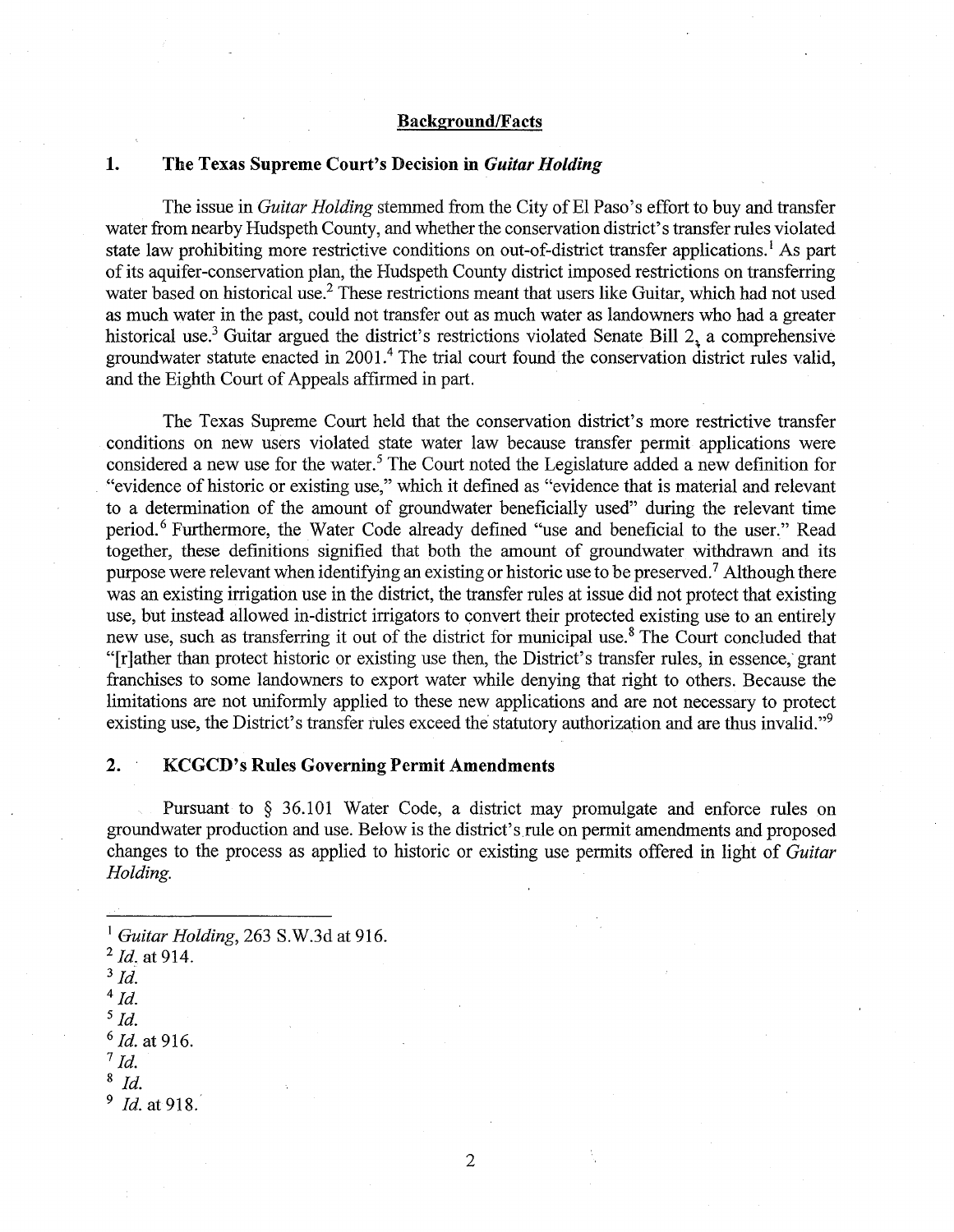#### **Background/Facts**

## **1. The Texas Supreme Court's Decision in** *Guitar Holding*

The issue in *Guitar Holding* stemmed from the City of El Paso's effort to buy and transfer water from nearby Hudspeth County, and whether the conservation district's transfer rules violated state law prohibiting more restrictive conditions on out-of-district transfer applications.<sup>1</sup> As part of its aquifer-conservation plan, the Hudspeth County district imposed restrictions on transferring water based on historical use.<sup>2</sup> These restrictions meant that users like Guitar, which had not used as much water in the past, could not transfer out as much water as landowners who had a greater historical use.<sup>3</sup> Guitar argued the district's restrictions violated Senate Bill 2, a comprehensive groundwater statute enacted in 2001.<sup>4</sup> The trial court found the conservation district rules valid, and the Eighth Court of Appeals affirmed in part.

The Texas Supreme Court held that the conservation district's more restrictive transfer conditions on new users violated state water law because transfer permit applications were considered a new use for the water.<sup>5</sup> The Court noted the Legislature added a new definition for "evidence of historic or existing use," which it defined as "evidence that is material and relevant to a determination of the amount of groundwater beneficially used" during the relevant time period. 6 Furthermore, the Water Code already defined "use and beneficial to the user." Read together, these definitions signified that both the amount of groundwater withdrawn and its purpose were relevant when identifying an existing or historic use to be preserved.<sup>7</sup> Although there was an existing irrigation use in the district, the transfer rules at issue did not protect that existing use, but instead allowed in-district irrigators to convert their protected existing use to an entirely new use, such as transferring it out of the district for municipal use.<sup>8</sup> The Court concluded that "[r]ather than protect historic or existing use then, the District's transfer rules, in essence,· grant franchises to some landowners to export water while denying that right to others. Because the limitations are not uniformly applied to these new applications and are not necessary to protect existing use, the District's transfer rules exceed the statutory authorization and are thus invalid."<sup>9</sup>

## **2. KCGCD's Rules Governing Permit Amendments**

Pursuant to § 36.101 Water Code, a district may promulgate and enforce rules on groundwater production and use. Below is the district's rule on permit amendments and proposed changes to the process as applied to historic or existing use permits offered in light of *Guitar Holding.* 

<sup>5</sup>*Id.* 

<sup>6</sup>*Id.* at 916.

<sup>8</sup>*Id.* 

<sup>9</sup> *Id.* at 918.

2

<sup>1</sup>*Guitar Holding,* 263 S.W.3d at 916.

<sup>2</sup>*Id.* at 914.

<sup>3</sup>*Id.* 

 $4$  Id.

<sup>7</sup>*Id.*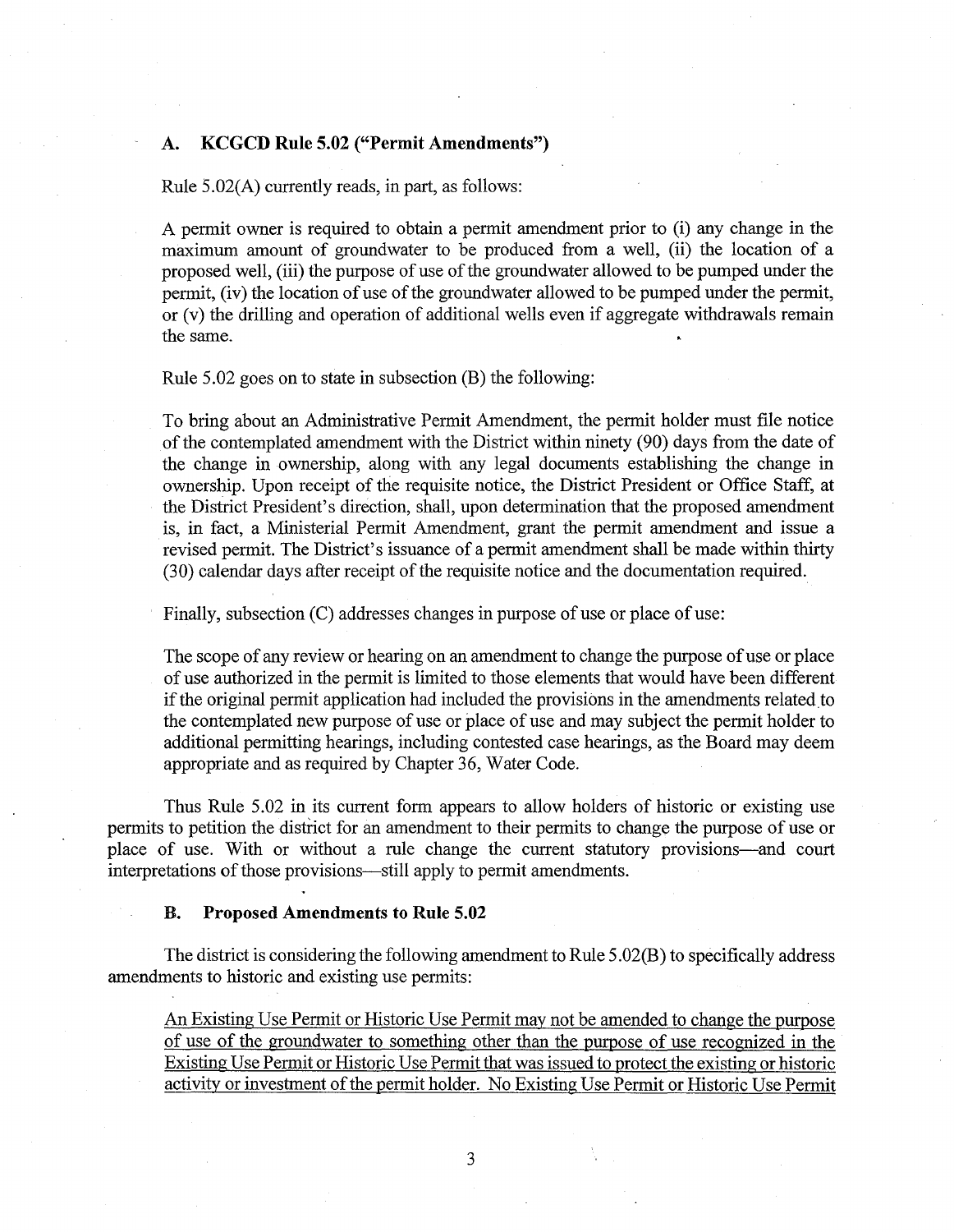## **A. KCGCD Rule 5.02 ("Permit Amendments")**

Rule 5.02(A) currently reads, in part, as follows:

A permit owner is required to obtain a permit amendment prior to (i) any change in the maximum amount of groundwater to be produced from a well, (ii) the location of a proposed well, (iii) the purpose of use of the groundwater allowed to be pumped under the permit, (iv) the location of use of the groundwater allowed to be pumped under the permit, or (v) the drilling and operation of additional wells even if aggregate withdrawals remain the same.

# Rule 5.02 goes on to state in subsection (B) the following:

To bring about an Administrative Permit Amendment, the permit holder must file notice of the contemplated amendment with the District within ninety (90) days from the date of the change in ownership, along with any legal documents establishing the change in ownership. Upon receipt of the requisite notice, the District President or Office Staff, at the District President's direction, shall, upon determination that the proposed amendment is, in fact, a Ministerial Permit Amendment, grant the permit amendment and issue a revised permit. The District's issuance of a permit amendment shall be made within thirty (30) calendar days after receipt of the requisite notice and the documentation required.

Finally, subsection (C) addresses changes in purpose of use or place of use:

The scope of any review or hearing on an amendment to change the purpose of use or place of use authorized in the permit is limited to those elements that would have been different if the original permit application had included the provisions in the amendments related to the contemplated new purpose of use or place of use and may subject the permit holder to additional permitting hearings, including contested case hearings, as the Board may deem appropriate and as required by Chapter 36, Water Code.

Thus Rule 5.02 in its current form appears to allow holders of historic or existing use permits to petition the district for an amendment to their permits to change the purpose of use or place of use. With or without a rule change the current statutory provisions-and court interpretations of those provisions—still apply to permit amendments.

#### **B. Proposed Amendments to Rule 5.02**

The district is considering the following amendment to Rule 5 .02(8) to specifically address amendments to historic and existing use permits:

An Existing Use Permit or Historic Use Permit may not be amended to change the purpose of use of the groundwater to something other than the purpose of use recognized in the Existing Use Permit or Historic Use Permit that was issued to protect the existing or historic activity or investment of the permit holder. No Existing Use Permit or Historic Use Permit

3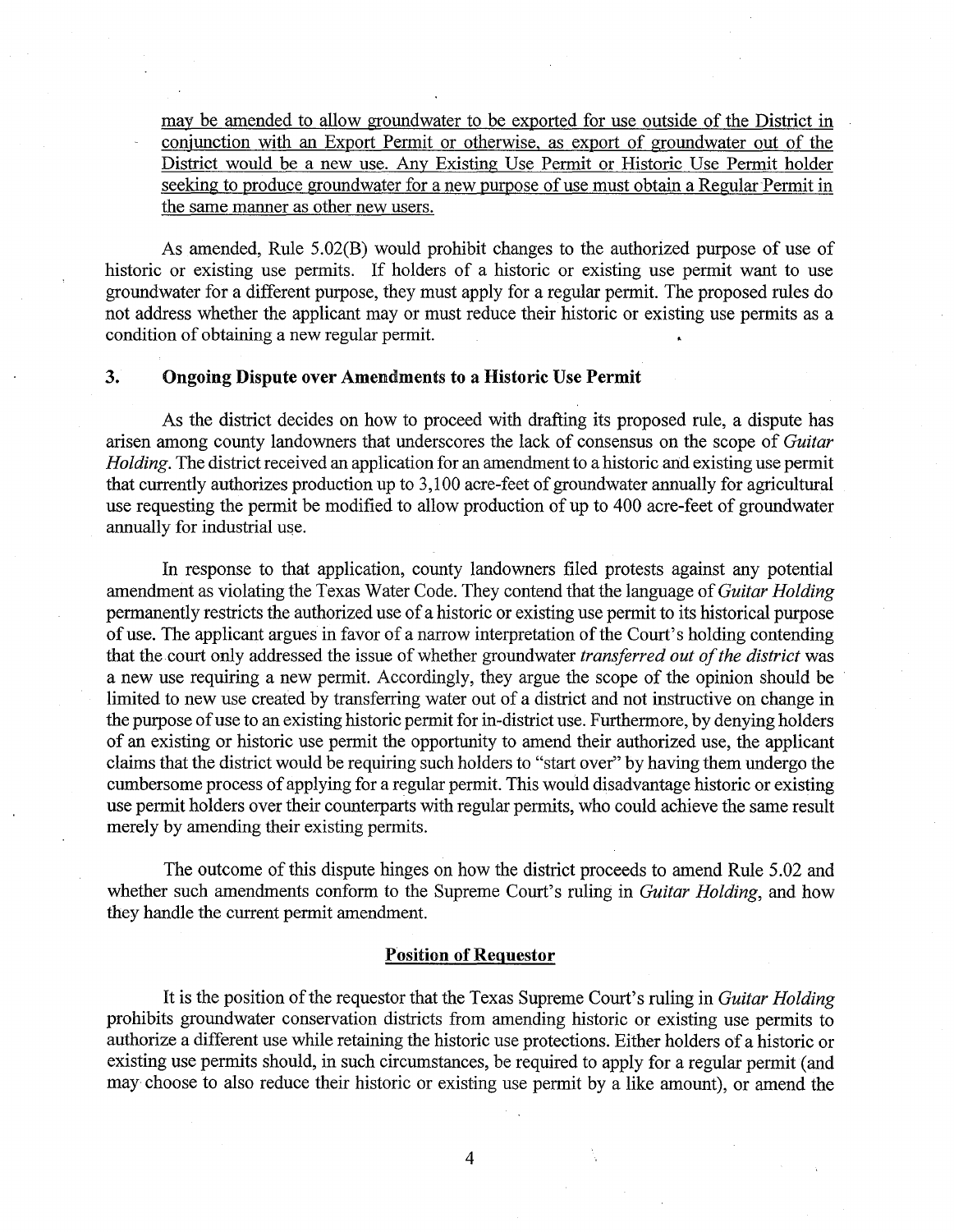may be amended to allow groundwater to be exported for use outside of the District in conjunction with an Export Permit or otherwise, as export of groundwater out of the District would be a new use. Any Existing Use Permit or Historic Use Permit holder seeking to produce groundwater for a new purpose of use must obtain a Regular Permit in the same manner as other new users.

As amended, Rule 5.02(B) would prohibit changes to the authorized purpose of use of historic or existing use permits. If holders of a historic or existing use permit want to use groundwater for a different purpose, they must apply for a regular permit. The proposed rules do not address whether the applicant may or must reduce their historic or existing use permits as a condition of obtaining a new regular permit.

# **3. Ongoing Dispute over Amendments to a Historic Use Permit**

As the district decides on how to proceed with drafting its proposed rule, a dispute has arisen among county landowners that underscores the lack of consensus on the scope of *Guitar Holding.* The district received an application for an amendment to a historic and existing use permit that currently authorizes production up to 3,100 acre-feet of groundwater annually for agricultural use requesting the permit be modified to allow production of up to 400 acre-feet of groundwater annually for industrial use.

In response to that application, county landowners filed protests against any potential amendment as violating the Texas Water Code. They contend that the language of *Guitar Holding*  permanently restricts the authorized use of a historic or existing use permit to its historical purpose of use. The applicant argues in favor of a narrow interpretation of the Court's holding contending that the court only addressed the issue of whether groundwater *transferred out of the district* was a new use requiring a new permit. Accordingly, they argue the scope of the opinion should be limited to new use created by transferring water out of a district and not instructive on change in the purpose of use to an existing historic permit for in-district use. Furthermore, by denying holders of an existing or historic use permit the opportunity to amend their authorized use, the applicant claims that the district would be requiring such holders to "start over" by having them undergo the cumbersome process of applying for a regular permit. This would disadvantage historic or existing use permit holders over their counterparts with regular permits, who could achieve the same result merely by amending their existing permits.

The outcome of this dispute hinges on how the district proceeds to amend Rule 5.02 and whether such amendments conform to the Supreme Court's ruling in *Guitar Holding,* and how they handle the current permit amendment.

#### **Position of Reguestor**

It is the position of the requestor that the Texas Supreme Court's ruling in *Guitar Holding*  prohibits groundwater conservation districts from amending historic or existing use permits to authorize a different use while retaining the historic use protections. Either holders of a historic or existing use permits should, in such circumstances, be required to apply for a regular permit (and may choose to also reduce their historic or existing use permit by a like amount), or amend the

4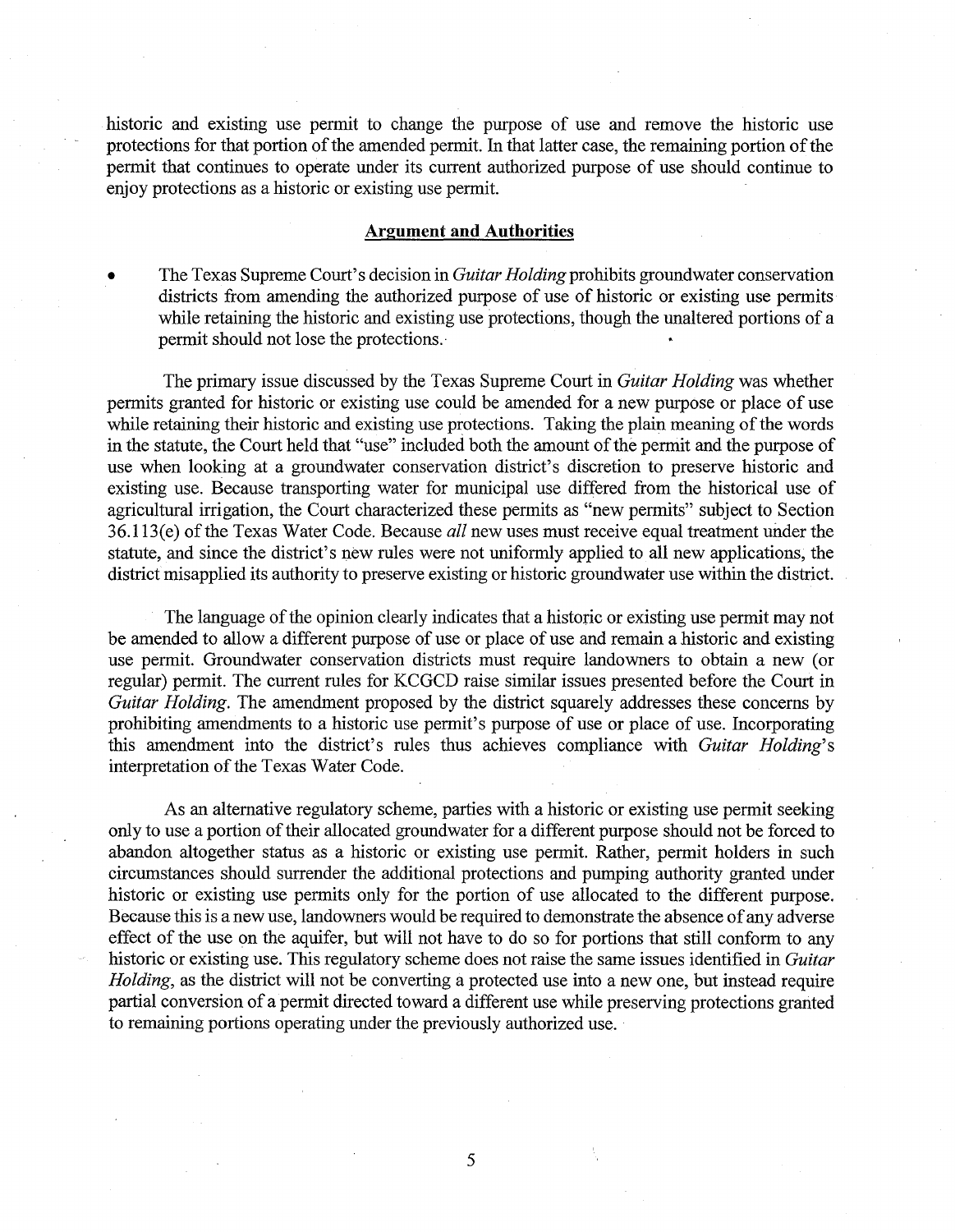historic and existing use permit to change the purpose of use and remove the historic use protections for that portion of the amended permit. In that latter case, the remaining portion of the permit that continues to operate under its current authorized purpose of use should continue to enjoy protections as a historic or existing use permit.

#### **Argument and Authorities**

• The Texas Supreme Court's decision in *Guitar Holding* prohibits groundwater conservation districts from amending the authorized purpose of use of historic or existing use permits while retaining the historic and existing use protections, though the unaltered portions of a permit should not lose the protections.·

The primary issue discussed by the Texas Supreme Court in *Guitar Holding* was whether permits granted for historic or existing use could be amended for a new purpose or place of use while retaining their historic and existing use protections. Taking the plain meaning of the words in the statute, the Court held that "use" included both the amount of the permit and the purpose of use when looking at a groundwater conservation district's discretion to preserve historic and existing use. Because transporting water for municipal use differed from the historical use of agricultural irrigation, the Court characterized these permits as "new permits" subject to Section 36.113(e) of the Texas Water Code. Because *all* new uses must receive equal treatment under the statute, and since the district's new rules were not uniformly applied to all new applications, the district misapplied its authority to preserve existing or historic groundwater use within the district.

The language of the opinion clearly indicates that a historic or existing use permit may not be amended to allow a different purpose of use or place of use and remain a historic and existing use permit. Groundwater conservation districts must require landowners to obtain a new ( or regular) permit. The current rules for KCGCD raise similar issues presented before the Court in *Guitar Holding.* The amendment proposed by the district squarely addresses these concerns by prohibiting amendments to a historic use permit's purpose of use or place of use. Incorporating this amendment into the district's rules thus achieves compliance with *Guitar Holding's*  interpretation of the Texas Water Code.

As an alternative regulatory scheme, parties with a historic or existing use permit seeking only to use a portion of their allocated groundwater for a different purpose should not be forced to abandon altogether status as a historic or existing use permit. Rather, permit holders in such circumstances should surrender the additional protections and pumping authority granted under historic or existing use permits only for the portion of use allocated to the different purpose. Because this is a new use, landowners would be required to demonstrate the absence of any adverse effect of the use on the aquifer, but will not have to do so for portions that still conform to any historic or existing use. This regulatory scheme does not raise the same issues identified in *Guitar Holding,* as the district will not be converting a protected use into a new one, but instead require partial conversion of a permit directed toward a different use while preserving protections granted to remaining portions operating under the previously authorized use.